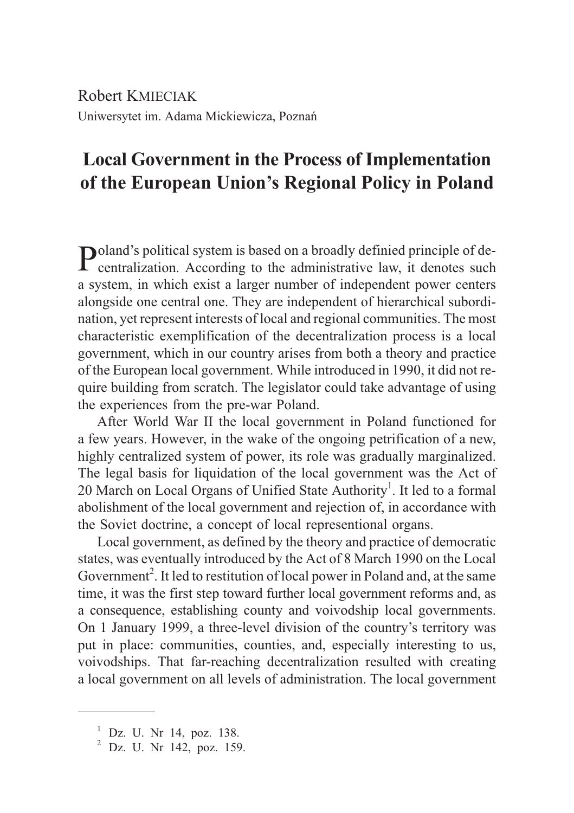Robert KMIECIAK Uniwersytet im. Adama Mickiewicza, Poznañ

## **Local Government in the Process of Implementation of the European Union's Regional Policy in Poland**

Poland's political system is based on a broadly definied principle of decentralization. According to the administrative law, it denotes such a system, in which exist a larger number of independent power centers alongside one central one. They are independent of hierarchical subordination, yet represent interests of local and regional communities. The most characteristic exemplification of the decentralization process is a local government, which in our country arises from both a theory and practice of the European local government. While introduced in 1990, it did not require building from scratch. The legislator could take advantage of using the experiences from the pre-war Poland.

After World War II the local government in Poland functioned for a few years. However, in the wake of the ongoing petrification of a new, highly centralized system of power, its role was gradually marginalized. The legal basis for liquidation of the local government was the Act of 20 March on Local Organs of Unified State Authority<sup>1</sup>. It led to a formal abolishment of the local government and rejection of, in accordance with the Soviet doctrine, a concept of local representional organs.

Local government, as defined by the theory and practice of democratic states, was eventually introduced by the Act of 8 March 1990 on the Local Government<sup>2</sup>. It led to restitution of local power in Poland and, at the same time, it was the first step toward further local government reforms and, as a consequence, establishing county and voivodship local governments. On 1 January 1999, a three-level division of the country's territory was put in place: communities, counties, and, especially interesting to us, voivodships. That far-reaching decentralization resulted with creating a local government on all levels of administration. The local government

 $1^{1}$  Dz. U. Nr 14, poz. 138.<br> $2^{2}$  Dz. U. Nr 142, poz. 159.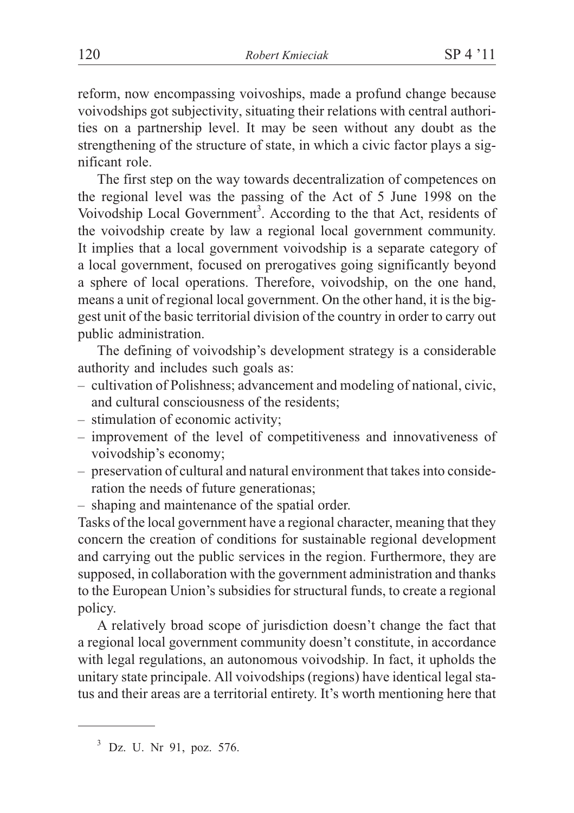reform, now encompassing voivoships, made a profund change because voivodships got subjectivity, situating their relations with central authorities on a partnership level. It may be seen without any doubt as the strengthening of the structure of state, in which a civic factor plays a significant role.

The first step on the way towards decentralization of competences on the regional level was the passing of the Act of 5 June 1998 on the Voivodship Local Government<sup>3</sup>. According to the that Act, residents of the voivodship create by law a regional local government community. It implies that a local government voivodship is a separate category of a local government, focused on prerogatives going significantly beyond a sphere of local operations. Therefore, voivodship, on the one hand, means a unit of regional local government. On the other hand, it is the biggest unit of the basic territorial division of the country in order to carry out public administration.

The defining of voivodship's development strategy is a considerable authority and includes such goals as:

- cultivation of Polishness; advancement and modeling of national, civic, and cultural consciousness of the residents;
- stimulation of economic activity;
- improvement of the level of competitiveness and innovativeness of voivodship's economy;
- preservation of cultural and natural environment that takes into consideration the needs of future generationas;
- shaping and maintenance of the spatial order.

Tasks of the local government have a regional character, meaning that they concern the creation of conditions for sustainable regional development and carrying out the public services in the region. Furthermore, they are supposed, in collaboration with the government administration and thanks to the European Union's subsidies for structural funds, to create a regional policy.

A relatively broad scope of jurisdiction doesn't change the fact that a regional local government community doesn't constitute, in accordance with legal regulations, an autonomous voivodship. In fact, it upholds the unitary state principale. All voivodships (regions) have identical legal status and their areas are a territorial entirety. It's worth mentioning here that

<sup>3</sup> Dz. U. Nr 91, poz. 576.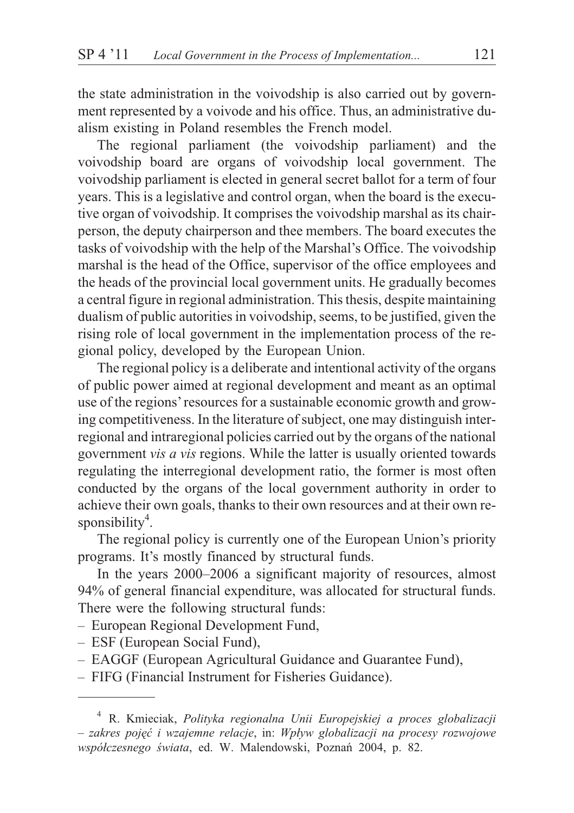the state administration in the voivodship is also carried out by government represented by a voivode and his office. Thus, an administrative dualism existing in Poland resembles the French model.

The regional parliament (the voivodship parliament) and the voivodship board are organs of voivodship local government. The voivodship parliament is elected in general secret ballot for a term of four years. This is a legislative and control organ, when the board is the executive organ of voivodship. It comprises the voivodship marshal as its chairperson, the deputy chairperson and thee members. The board executes the tasks of voivodship with the help of the Marshal's Office. The voivodship marshal is the head of the Office, supervisor of the office employees and the heads of the provincial local government units. He gradually becomes a central figure in regional administration. This thesis, despite maintaining dualism of public autorities in voivodship, seems, to be justified, given the rising role of local government in the implementation process of the regional policy, developed by the European Union.

The regional policy is a deliberate and intentional activity of the organs of public power aimed at regional development and meant as an optimal use of the regions'resources for a sustainable economic growth and growing competitiveness. In the literature of subject, one may distinguish interregional and intraregional policies carried out by the organs of the national government *vis a vis* regions. While the latter is usually oriented towards regulating the interregional development ratio, the former is most often conducted by the organs of the local government authority in order to achieve their own goals, thanks to their own resources and at their own responsibility<sup>4</sup>.

The regional policy is currently one of the European Union's priority programs. It's mostly financed by structural funds.

In the years 2000–2006 a significant majority of resources, almost 94% of general financial expenditure, was allocated for structural funds. There were the following structural funds:

- European Regional Development Fund,
- ESF (European Social Fund),
- EAGGF (European Agricultural Guidance and Guarantee Fund),
- FIFG (Financial Instrument for Fisheries Guidance).

<sup>4</sup> R. Kmieciak, *Polityka regionalna Unii Europejskiej a proces globalizacji – zakres pojêæ i wzajemne relacje*, in: *Wp³yw globalizacji na procesy rozwojowe wspó³czesnego œwiata*, ed. W. Malendowski, Poznañ 2004, p. 82.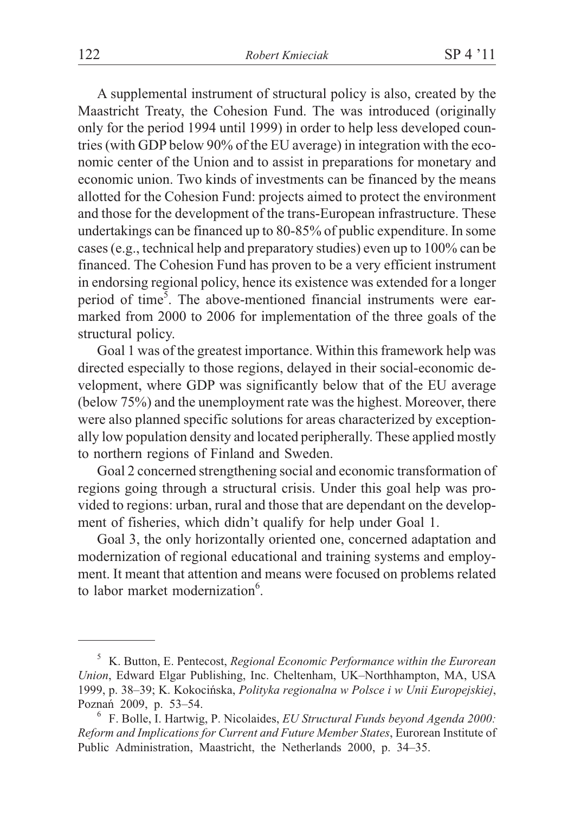A supplemental instrument of structural policy is also, created by the Maastricht Treaty, the Cohesion Fund. The was introduced (originally only for the period 1994 until 1999) in order to help less developed countries (with GDP below 90% of the EU average) in integration with the economic center of the Union and to assist in preparations for monetary and economic union. Two kinds of investments can be financed by the means allotted for the Cohesion Fund: projects aimed to protect the environment and those for the development of the trans-European infrastructure. These undertakings can be financed up to 80-85% of public expenditure. In some cases (e.g., technical help and preparatory studies) even up to 100% can be financed. The Cohesion Fund has proven to be a very efficient instrument in endorsing regional policy, hence its existence was extended for a longer period of time<sup>5</sup>. The above-mentioned financial instruments were earmarked from 2000 to 2006 for implementation of the three goals of the structural policy.

Goal 1 was of the greatest importance. Within this framework help was directed especially to those regions, delayed in their social-economic development, where GDP was significantly below that of the EU average (below 75%) and the unemployment rate was the highest. Moreover, there were also planned specific solutions for areas characterized by exceptionally low population density and located peripherally. These applied mostly to northern regions of Finland and Sweden.

Goal 2 concerned strengthening social and economic transformation of regions going through a structural crisis. Under this goal help was provided to regions: urban, rural and those that are dependant on the development of fisheries, which didn't qualify for help under Goal 1.

Goal 3, the only horizontally oriented one, concerned adaptation and modernization of regional educational and training systems and employment. It meant that attention and means were focused on problems related to labor market modernization<sup>6</sup>.

<sup>5</sup> K. Button, E. Pentecost, *Regional Economic Performance within the Eurorean Union*, Edward Elgar Publishing, Inc. Cheltenham, UK–Northhampton, MA, USA 1999, p. 38–39; K. Kokociñska, *Polityka regionalna w Polsce i w Unii Europejskiej*, Poznañ 2009, p. 53–54. <sup>6</sup> F. Bolle, I. Hartwig, P. Nicolaides, *EU Structural Funds beyond Agenda 2000:*

*Reform and Implications for Current and Future Member States*, Eurorean Institute of Public Administration, Maastricht, the Netherlands 2000, p. 34–35.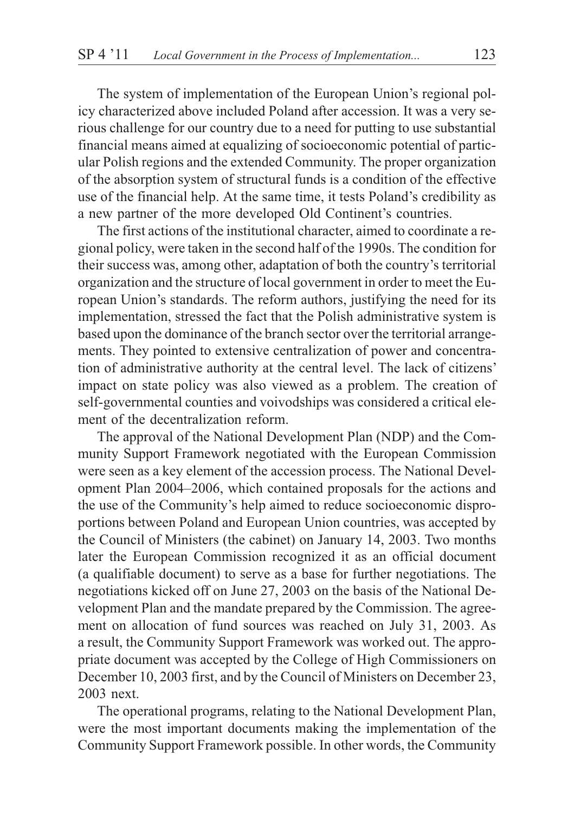The system of implementation of the European Union's regional policy characterized above included Poland after accession. It was a very serious challenge for our country due to a need for putting to use substantial financial means aimed at equalizing of socioeconomic potential of particular Polish regions and the extended Community. The proper organization of the absorption system of structural funds is a condition of the effective use of the financial help. At the same time, it tests Poland's credibility as a new partner of the more developed Old Continent's countries.

The first actions of the institutional character, aimed to coordinate a regional policy, were taken in the second half of the 1990s. The condition for their success was, among other, adaptation of both the country's territorial organization and the structure of local government in order to meet the European Union's standards. The reform authors, justifying the need for its implementation, stressed the fact that the Polish administrative system is based upon the dominance of the branch sector over the territorial arrangements. They pointed to extensive centralization of power and concentration of administrative authority at the central level. The lack of citizens' impact on state policy was also viewed as a problem. The creation of self-governmental counties and voivodships was considered a critical element of the decentralization reform.

The approval of the National Development Plan (NDP) and the Community Support Framework negotiated with the European Commission were seen as a key element of the accession process. The National Development Plan 2004–2006, which contained proposals for the actions and the use of the Community's help aimed to reduce socioeconomic disproportions between Poland and European Union countries, was accepted by the Council of Ministers (the cabinet) on January 14, 2003. Two months later the European Commission recognized it as an official document (a qualifiable document) to serve as a base for further negotiations. The negotiations kicked off on June 27, 2003 on the basis of the National Development Plan and the mandate prepared by the Commission. The agreement on allocation of fund sources was reached on July 31, 2003. As a result, the Community Support Framework was worked out. The appropriate document was accepted by the College of High Commissioners on December 10, 2003 first, and by the Council of Ministers on December 23, 2003 next.

The operational programs, relating to the National Development Plan, were the most important documents making the implementation of the Community Support Framework possible. In other words, the Community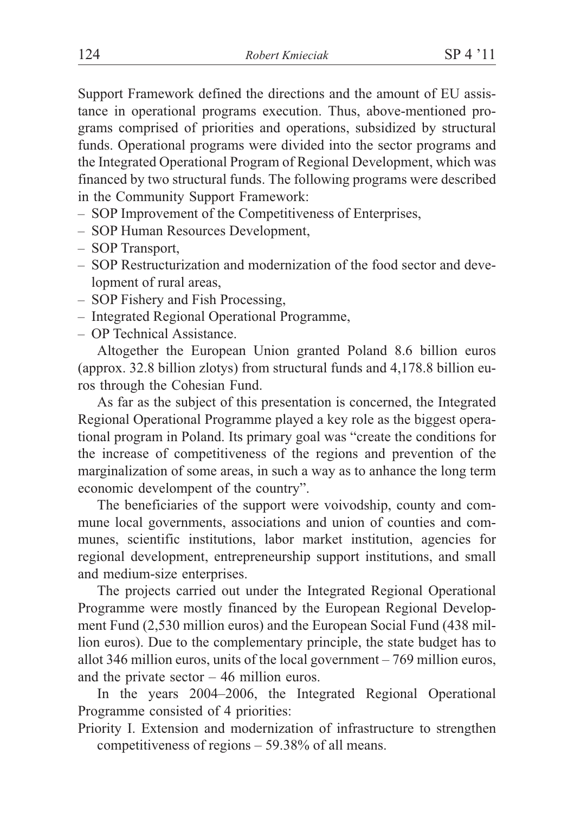Support Framework defined the directions and the amount of EU assistance in operational programs execution. Thus, above-mentioned programs comprised of priorities and operations, subsidized by structural funds. Operational programs were divided into the sector programs and the Integrated Operational Program of Regional Development, which was financed by two structural funds. The following programs were described in the Community Support Framework:

- SOP Improvement of the Competitiveness of Enterprises,
- SOP Human Resources Development,
- SOP Transport,
- SOP Restructurization and modernization of the food sector and development of rural areas,
- SOP Fishery and Fish Processing,
- Integrated Regional Operational Programme,
- OP Technical Assistance.

Altogether the European Union granted Poland 8.6 billion euros (approx. 32.8 billion zlotys) from structural funds and 4,178.8 billion euros through the Cohesian Fund.

As far as the subject of this presentation is concerned, the Integrated Regional Operational Programme played a key role as the biggest operational program in Poland. Its primary goal was "create the conditions for the increase of competitiveness of the regions and prevention of the marginalization of some areas, in such a way as to anhance the long term economic develompent of the country".

The beneficiaries of the support were voivodship, county and commune local governments, associations and union of counties and communes, scientific institutions, labor market institution, agencies for regional development, entrepreneurship support institutions, and small and medium-size enterprises.

The projects carried out under the Integrated Regional Operational Programme were mostly financed by the European Regional Development Fund (2,530 million euros) and the European Social Fund (438 million euros). Due to the complementary principle, the state budget has to allot 346 million euros, units of the local government – 769 million euros, and the private sector – 46 million euros.

In the years 2004–2006, the Integrated Regional Operational Programme consisted of 4 priorities:

Priority I. Extension and modernization of infrastructure to strengthen competitiveness of regions – 59.38% of all means.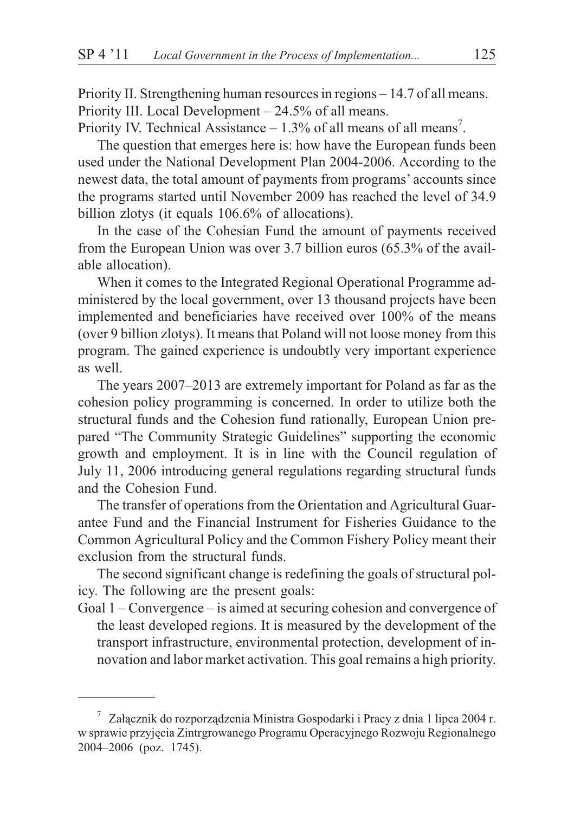Priority II. Strengthening human resources in regions – 14.7 of all means. Priority III. Local Development – 24.5% of all means.

Priority IV. Technical Assistance  $-1.3\%$  of all means of all means<sup>7</sup>.

The question that emerges here is: how have the European funds been used under the National Development Plan 2004-2006. According to the newest data, the total amount of payments from programs' accounts since the programs started until November 2009 has reached the level of 34.9 billion zlotys (it equals 106.6% of allocations).

In the case of the Cohesian Fund the amount of payments received from the European Union was over 3.7 billion euros (65.3% of the available allocation).

When it comes to the Integrated Regional Operational Programme administered by the local government, over 13 thousand projects have been implemented and beneficiaries have received over 100% of the means (over 9 billion zlotys). It means that Poland will not loose money from this program. The gained experience is undoubtly very important experience as well.

The years 2007–2013 are extremely important for Poland as far as the cohesion policy programming is concerned. In order to utilize both the structural funds and the Cohesion fund rationally, European Union prepared "The Community Strategic Guidelines" supporting the economic growth and employment. It is in line with the Council regulation of July 11, 2006 introducing general regulations regarding structural funds and the Cohesion Fund.

The transfer of operations from the Orientation and Agricultural Guarantee Fund and the Financial Instrument for Fisheries Guidance to the Common Agricultural Policy and the Common Fishery Policy meant their exclusion from the structural funds.

The second significant change is redefining the goals of structural policy. The following are the present goals:

Goal 1 – Convergence – is aimed at securing cohesion and convergence of the least developed regions. It is measured by the development of the transport infrastructure, environmental protection, development of innovation and labor market activation. This goal remains a high priority.

 $7$  Załącznik do rozporządzenia Ministra Gospodarki i Pracy z dnia 1 lipca 2004 r. w sprawie przyjêcia Zintrgrowanego Programu Operacyjnego Rozwoju Regionalnego 2004–2006 (poz. 1745).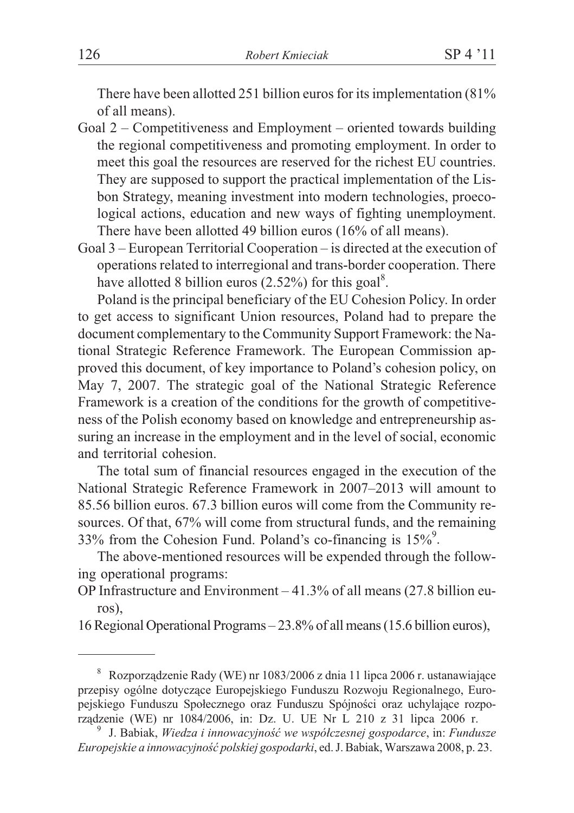There have been allotted 251 billion euros for its implementation (81% of all means).

- Goal 2 Competitiveness and Employment oriented towards building the regional competitiveness and promoting employment. In order to meet this goal the resources are reserved for the richest EU countries. They are supposed to support the practical implementation of the Lisbon Strategy, meaning investment into modern technologies, proecological actions, education and new ways of fighting unemployment. There have been allotted 49 billion euros (16% of all means).
- Goal 3 European Territorial Cooperation is directed at the execution of operations related to interregional and trans-border cooperation. There have allotted 8 billion euros  $(2.52\%)$  for this goal<sup>8</sup>.

Poland is the principal beneficiary of the EU Cohesion Policy. In order to get access to significant Union resources, Poland had to prepare the document complementary to the Community Support Framework: the National Strategic Reference Framework. The European Commission approved this document, of key importance to Poland's cohesion policy, on May 7, 2007. The strategic goal of the National Strategic Reference Framework is a creation of the conditions for the growth of competitiveness of the Polish economy based on knowledge and entrepreneurship assuring an increase in the employment and in the level of social, economic and territorial cohesion.

The total sum of financial resources engaged in the execution of the National Strategic Reference Framework in 2007–2013 will amount to 85.56 billion euros. 67.3 billion euros will come from the Community resources. Of that, 67% will come from structural funds, and the remaining 33% from the Cohesion Fund. Poland's co-financing is  $15\%$ <sup>9</sup>.

The above-mentioned resources will be expended through the following operational programs:

OP Infrastructure and Environment – 41.3% of all means (27.8 billion euros),

16 Regional Operational Programs – 23.8% of all means (15.6 billion euros),

<sup>&</sup>lt;sup>8</sup> Rozporządzenie Rady (WE) nr 1083/2006 z dnia 11 lipca 2006 r. ustanawiające przepisy ogólne dotyczące Europejskiego Funduszu Rozwoju Regionalnego, Europejskiego Funduszu Społecznego oraz Funduszu Spójności oraz uchylające rozpo-rządzenie (WE) nr 1084/2006, in: Dz. U. UE Nr L 210 z 31 lipca 2006 r.

<sup>&</sup>lt;sup>9</sup> J. Babiak, Wiedza i innowacyjność we współczesnej gospodarce, in: *Fundusze Europejskie a innowacyjnoϾ polskiej gospodarki*, ed. J. Babiak, Warszawa 2008, p. 23.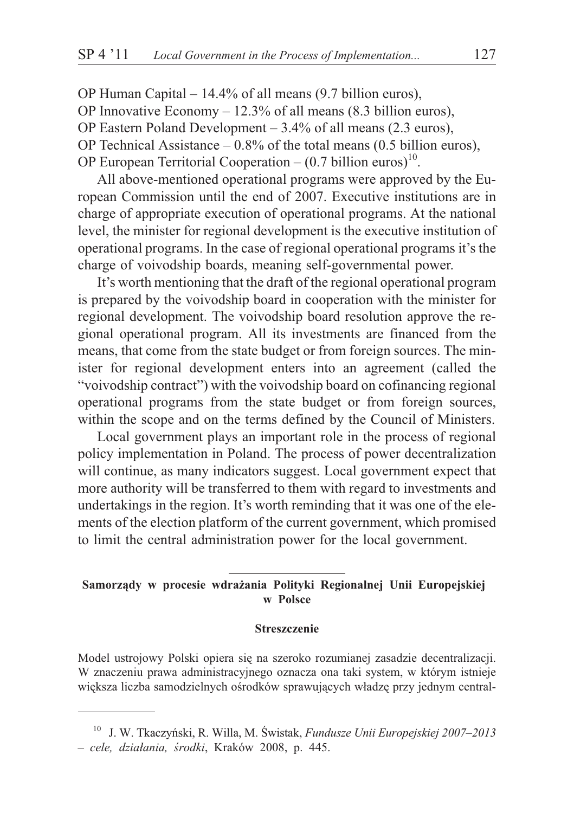OP Human Capital – 14.4% of all means (9.7 billion euros), OP Innovative Economy – 12.3% of all means (8.3 billion euros), OP Eastern Poland Development – 3.4% of all means (2.3 euros), OP Technical Assistance  $-0.8\%$  of the total means (0.5 billion euros), OP European Territorial Cooperation –  $(0.7 \text{ billion euros})^{10}$ .

All above-mentioned operational programs were approved by the European Commission until the end of 2007. Executive institutions are in charge of appropriate execution of operational programs. At the national level, the minister for regional development is the executive institution of operational programs. In the case of regional operational programs it's the charge of voivodship boards, meaning self-governmental power.

It's worth mentioning that the draft of the regional operational program is prepared by the voivodship board in cooperation with the minister for regional development. The voivodship board resolution approve the regional operational program. All its investments are financed from the means, that come from the state budget or from foreign sources. The minister for regional development enters into an agreement (called the "voivodship contract") with the voivodship board on cofinancing regional operational programs from the state budget or from foreign sources, within the scope and on the terms defined by the Council of Ministers.

Local government plays an important role in the process of regional policy implementation in Poland. The process of power decentralization will continue, as many indicators suggest. Local government expect that more authority will be transferred to them with regard to investments and undertakings in the region. It's worth reminding that it was one of the elements of the election platform of the current government, which promised to limit the central administration power for the local government.

## Samorządy w procesie wdrażania Polityki Regionalnej Unii Europejskiej **w Polsce**

## **Streszczenie**

Model ustrojowy Polski opiera siê na szeroko rozumianej zasadzie decentralizacji. W znaczeniu prawa administracyjnego oznacza ona taki system, w którym istnieje większa liczba samodzielnych ośrodków sprawujących władzę przy jednym central-

<sup>10</sup> J. W. Tkaczyñski, R. Willa, M. Œwistak, *Fundusze Unii Europejskiej 2007–2013 – cele, dzia³ania, œrodki*, Kraków 2008, p. 445.